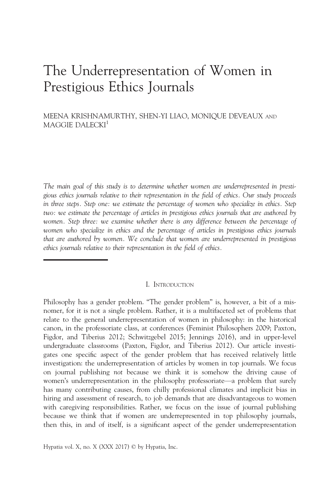# The Underrepresentation of Women in Prestigious Ethics Journals

MEENA KRISHNAMURTHY, SHEN-YI LIAO, MONIQUE DEVEAUX AND MAGGIE DALECKI<sup>1</sup>

The main goal of this study is to determine whether women are underrepresented in prestigious ethics journals relative to their representation in the field of ethics. Our study proceeds in three steps. Step one: we estimate the percentage of women who specialize in ethics. Step two: we estimate the percentage of articles in prestigious ethics journals that are authored by women. Step three: we examine whether there is any difference between the percentage of women who specialize in ethics and the percentage of articles in prestigious ethics journals that are authored by women. We conclude that women are underrepresented in prestigious ethics journals relative to their representation in the field of ethics.

#### I. INTRODUCTION

Philosophy has a gender problem. "The gender problem" is, however, a bit of a misnomer, for it is not a single problem. Rather, it is a multifaceted set of problems that relate to the general underrepresentation of women in philosophy: in the historical canon, in the professoriate class, at conferences (Feminist Philosophers 2009; Paxton, Figdor, and Tiberius 2012; Schwitzgebel 2015; Jennings 2016), and in upper-level undergraduate classrooms (Paxton, Figdor, and Tiberius 2012). Our article investigates one specific aspect of the gender problem that has received relatively little investigation: the underrepresentation of articles by women in top journals. We focus on journal publishing not because we think it is somehow the driving cause of women's underrepresentation in the philosophy professoriate—a problem that surely has many contributing causes, from chilly professional climates and implicit bias in hiring and assessment of research, to job demands that are disadvantageous to women with caregiving responsibilities. Rather, we focus on the issue of journal publishing because we think that if women are underrepresented in top philosophy journals, then this, in and of itself, is a significant aspect of the gender underrepresentation

Hypatia vol. X, no. X (XXX 2017) © by Hypatia, Inc.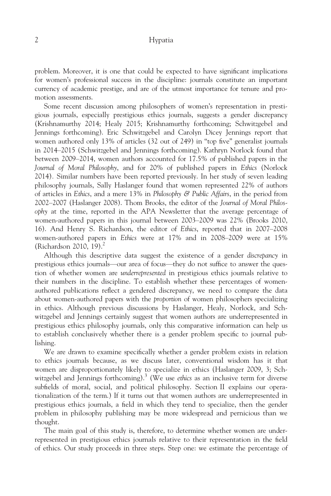problem. Moreover, it is one that could be expected to have significant implications for women's professional success in the discipline: journals constitute an important currency of academic prestige, and are of the utmost importance for tenure and promotion assessments.

Some recent discussion among philosophers of women's representation in prestigious journals, especially prestigious ethics journals, suggests a gender discrepancy (Krishnamurthy 2014; Healy 2015; Krishnamurthy forthcoming; Schwitzgebel and Jennings forthcoming). Eric Schwitzgebel and Carolyn Dicey Jennings report that women authored only 13% of articles (32 out of 249) in "top five" generalist journals in 2014–2015 (Schwitzgebel and Jennings forthcoming). Kathryn Norlock found that between 2009–2014, women authors accounted for 17.5% of published papers in the Journal of Moral Philosophy, and for 20% of published papers in Ethics (Norlock 2014). Similar numbers have been reported previously. In her study of seven leading philosophy journals, Sally Haslanger found that women represented 22% of authors of articles in Ethics, and a mere 13% in Philosophy & Public Affairs, in the period from 2002–2007 (Haslanger 2008). Thom Brooks, the editor of the Journal of Moral Philosophy at the time, reported in the APA Newsletter that the average percentage of women-authored papers in this journal between 2003–2009 was 22% (Brooks 2010, 16). And Henry S. Richardson, the editor of Ethics, reported that in 2007–2008 women-authored papers in Ethics were at 17% and in 2008–2009 were at 15% (Richardson 2010, 19). $^{2}$ 

Although this descriptive data suggest the existence of a gender discrepancy in prestigious ethics journals—our area of focus—they do not suffice to answer the question of whether women are underrepresented in prestigious ethics journals relative to their numbers in the discipline. To establish whether these percentages of womenauthored publications reflect a gendered discrepancy, we need to compare the data about women-authored papers with the proportion of women philosophers specializing in ethics. Although previous discussions by Haslanger, Healy, Norlock, and Schwitzgebel and Jennings certainly suggest that women authors are underrepresented in prestigious ethics philosophy journals, only this comparative information can help us to establish conclusively whether there is a gender problem specific to journal publishing.

We are drawn to examine specifically whether a gender problem exists in relation to ethics journals because, as we discuss later, conventional wisdom has it that women are disproportionately likely to specialize in ethics (Haslanger 2009, 3; Schwitzgebel and Jennings forthcoming).<sup>3</sup> (We use *ethics* as an inclusive term for diverse subfields of moral, social, and political philosophy. Section II explains our operationalization of the term.) If it turns out that women authors are underrepresented in prestigious ethics journals, a field in which they tend to specialize, then the gender problem in philosophy publishing may be more widespread and pernicious than we thought.

The main goal of this study is, therefore, to determine whether women are underrepresented in prestigious ethics journals relative to their representation in the field of ethics. Our study proceeds in three steps. Step one: we estimate the percentage of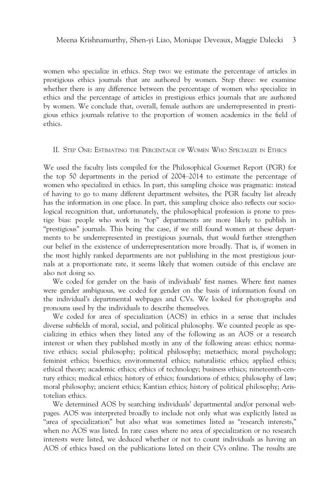women who specialize in ethics. Step two: we estimate the percentage of articles in prestigious ethics journals that are authored by women. Step three: we examine whether there is any difference between the percentage of women who specialize in ethics and the percentage of articles in prestigious ethics journals that are authored by women. We conclude that, overall, female authors are underrepresented in prestigious ethics journals relative to the proportion of women academics in the field of ethics.

#### II. STEP ONE: ESTIMATING THE PERCENTAGE OF WOMEN WHO SPECIALIZE IN ETHICS

We used the faculty lists compiled for the Philosophical Gourmet Report (PGR) for the top 50 departments in the period of 2004–2014 to estimate the percentage of women who specialized in ethics. In part, this sampling choice was pragmatic: instead of having to go to many different department websites, the PGR faculty list already has the information in one place. In part, this sampling choice also reflects our sociological recognition that, unfortunately, the philosophical profession is prone to prestige bias: people who work in "top" departments are more likely to publish in "prestigious" journals. This being the case, if we still found women at these departments to be underrepresented in prestigious journals, that would further strengthen our belief in the existence of underrepresentation more broadly. That is, if women in the most highly ranked departments are not publishing in the most prestigious journals at a proportionate rate, it seems likely that women outside of this enclave are also not doing so.

We coded for gender on the basis of individuals' first names. Where first names were gender ambiguous, we coded for gender on the basis of information found on the individual's departmental webpages and CVs. We looked for photographs and pronouns used by the individuals to describe themselves.

We coded for area of specialization (AOS) in ethics in a sense that includes diverse subfields of moral, social, and political philosophy. We counted people as specializing in ethics when they listed any of the following as an AOS or a research interest or when they published mostly in any of the following areas: ethics; normative ethics; social philosophy; political philosophy; metaethics; moral psychology; feminist ethics; bioethics; environmental ethics; naturalistic ethics; applied ethics; ethical theory; academic ethics; ethics of technology; business ethics; nineteenth-century ethics; medical ethics; history of ethics; foundations of ethics; philosophy of law; moral philosophy; ancient ethics; Kantian ethics; history of political philosophy; Aristotelian ethics.

We determined AOS by searching individuals' departmental and/or personal webpages. AOS was interpreted broadly to include not only what was explicitly listed as "area of specialization" but also what was sometimes listed as "research interests," when no AOS was listed. In rare cases where no area of specialization or no research interests were listed, we deduced whether or not to count individuals as having an AOS of ethics based on the publications listed on their CVs online. The results are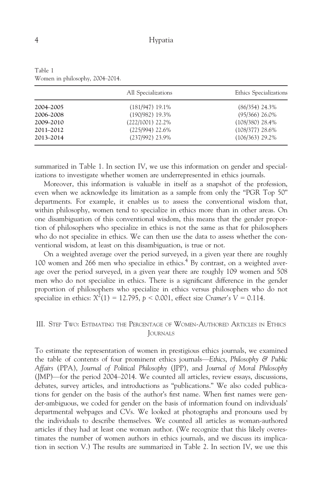|               | All Specializations | Ethics Specializations |  |  |
|---------------|---------------------|------------------------|--|--|
| 2004-2005     | $(181/947)$ 19.1%   | $(86/354)$ 24.3%       |  |  |
| 2006-2008     | $(190/982)$ 19.3%   | $(95/366)$ 26.0%       |  |  |
| 2009-2010     | $(222/1001)$ 22.2%  | $(108/380)$ 28.4%      |  |  |
| $2011 - 2012$ | $(225/994)$ 22.6%   | $(108/377)$ 28.6%      |  |  |
| 2013-2014     | $(237/992)$ 23.9%   | $(106/363)$ 29.2%      |  |  |

Table 1 Women in philosophy, 2004–2014.

summarized in Table 1. In section IV, we use this information on gender and specializations to investigate whether women are underrepresented in ethics journals.

Moreover, this information is valuable in itself as a snapshot of the profession, even when we acknowledge its limitation as a sample from only the "PGR Top 50" departments. For example, it enables us to assess the conventional wisdom that, within philosophy, women tend to specialize in ethics more than in other areas. On one disambiguation of this conventional wisdom, this means that the gender proportion of philosophers who specialize in ethics is not the same as that for philosophers who do not specialize in ethics. We can then use the data to assess whether the conventional wisdom, at least on this disambiguation, is true or not.

On a weighted average over the period surveyed, in a given year there are roughly 100 women and 266 men who specialize in ethics.<sup>4</sup> By contrast, on a weighted average over the period surveyed, in a given year there are roughly 109 women and 508 men who do not specialize in ethics. There is a significant difference in the gender proportion of philosophers who specialize in ethics versus philosophers who do not specialize in ethics:  $X^2(1) = 12.795$ ,  $p < 0.001$ , effect size Cramer's  $V = 0.114$ .

## III. STEP TWO: ESTIMATING THE PERCENTAGE OF WOMEN-AUTHORED ARTICLES IN ETHICS JOURNALS

To estimate the representation of women in prestigious ethics journals, we examined the table of contents of four prominent ethics journals—Ethics, Philosophy & Public Affairs (PPA), Journal of Political Philosophy (JPP), and Journal of Moral Philosophy (JMP)—for the period 2004–2014. We counted all articles, review essays, discussions, debates, survey articles, and introductions as "publications." We also coded publications for gender on the basis of the author's first name. When first names were gender-ambiguous, we coded for gender on the basis of information found on individuals' departmental webpages and CVs. We looked at photographs and pronouns used by the individuals to describe themselves. We counted all articles as woman-authored articles if they had at least one woman author. (We recognize that this likely overestimates the number of women authors in ethics journals, and we discuss its implication in section V.) The results are summarized in Table 2. In section IV, we use this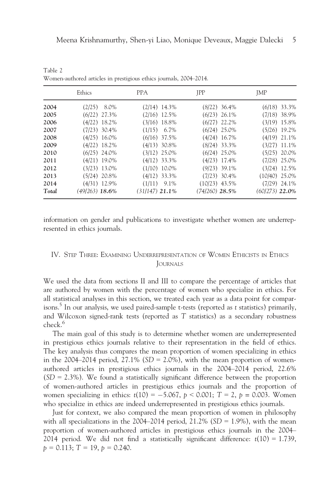|       | Ethics           | <b>PPA</b>       | <b>JPP</b>       | <b>JMP</b>       |
|-------|------------------|------------------|------------------|------------------|
| 2004  | $(2/25)$ 8.0%    | $(2/14)$ 14.3%   | $(8/22)$ 36.4%   | $(6/18)$ 33.3%   |
| 2005  | $(6/22)$ 27.3%   | $(2/16)$ 12.5%   | $(6/23)$ 26.1%   | $(7/18)$ 38.9%   |
| 2006  | $(4/22)$ 18.2%   | $(3/16)$ 18.8%   | $(6/27)$ 22.2%   | $(3/19)$ 15.8%   |
| 2007  | $(7/23)$ 30.4%   | $(1/15)$ 6.7%    | $(6/24)$ 25.0%   | $(5/26)$ 19.2%   |
| 2008  | $(4/25)$ 16.0%   | $(6/16)$ 37.5%   | $(4/24)$ 16.7%   | $(4/19)$ 21.1%   |
| 2009  | $(4/22)$ 18.2%   | $(4/13)$ 30.8%   | $(8/24)$ 33.3%   | $(3/27)$ 11.1%   |
| 2010  | $(6/25)$ 24.0%   | $(3/12)$ 25.0%   | $(6/24)$ 25.0%   | $(5/25)$ 20.0%   |
| 2011  | $(4/21)$ 19.0%   | $(4/12)$ 33.3%   | $(4/23)$ 17.4%   | $(7/28)$ 25.0%   |
| 2012  | $(3/23)$ 13.0%   | $(1/10)$ 10.0%   | $(9/23)$ 39.1%   | $(3/24)$ 12.5%   |
| 2013  | $(5/24)$ 20.8%   | $(4/12)$ 33.3%   | $(7/23)$ 30.4%   | $(10/40)$ 25.0%  |
| 2014  | $(4/31)$ 12.9%   | $(1/11)$ 9.1%    | $(10/23)$ 43.5%  | $(7/29)$ 24.1%   |
| Total | $(49/263)$ 18.6% | $(31/147)$ 21.1% | $(74/260)$ 28.5% | $(60/273)$ 22.0% |

Table 2 Women-authored articles in prestigious ethics journals, 2004–2014.

information on gender and publications to investigate whether women are underrepresented in ethics journals.

## IV. STEP THREE: EXAMINING UNDERREPRESENTATION OF WOMEN ETHICISTS IN ETHICS JOURNALS

We used the data from sections II and III to compare the percentage of articles that are authored by women with the percentage of women who specialize in ethics. For all statistical analyses in this section, we treated each year as a data point for comparisons.<sup>5</sup> In our analysis, we used paired-sample t-tests (reported as t statistics) primarily, and Wilcoxon signed-rank tests (reported as T statistics) as a secondary robustness check.<sup>6</sup>

The main goal of this study is to determine whether women are underrepresented in prestigious ethics journals relative to their representation in the field of ethics. The key analysis thus compares the mean proportion of women specializing in ethics in the 2004–2014 period,  $27.1\%$  (SD = 2.0%), with the mean proportion of womenauthored articles in prestigious ethics journals in the 2004–2014 period, 22.6%  $(SD = 2.3\%)$ . We found a statistically significant difference between the proportion of women-authored articles in prestigious ethics journals and the proportion of women specializing in ethics:  $t(10) = -5.067$ ,  $p < 0.001$ ;  $T = 2$ ,  $p = 0.003$ . Women who specialize in ethics are indeed underrepresented in prestigious ethics journals.

Just for context, we also compared the mean proportion of women in philosophy with all specializations in the 2004–2014 period,  $21.2\%$  (SD = 1.9%), with the mean proportion of women-authored articles in prestigious ethics journals in the 2004– 2014 period. We did not find a statistically significant difference:  $t(10) = 1.739$ ,  $p = 0.113$ ; T = 19,  $p = 0.240$ .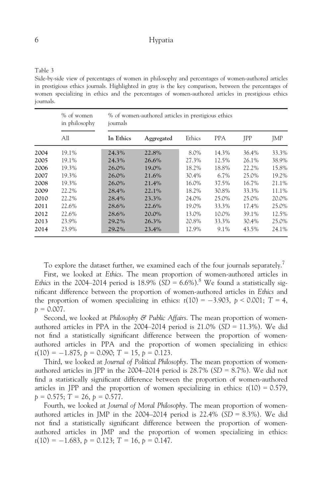Table 3

Side-by-side view of percentages of women in philosophy and percentages of women-authored articles in prestigious ethics journals. Highlighted in gray is the key comparison, between the percentages of women specializing in ethics and the percentages of women-authored articles in prestigious ethics journals.

|      | % of women<br>in philosophy<br>All | % of women-authored articles in prestigious ethics<br>journals |            |        |            |            |            |  |
|------|------------------------------------|----------------------------------------------------------------|------------|--------|------------|------------|------------|--|
|      |                                    | In Ethics                                                      | Aggregated | Ethics | <b>PPA</b> | <b>IPP</b> | <b>JMP</b> |  |
| 2004 | 19.1%                              | 24.3%                                                          | 22.8%      | 8.0%   | 14.3%      | 36.4%      | 33.3%      |  |
| 2005 | 19.1%                              | 24.3%                                                          | 26.6%      | 27.3%  | 12.5%      | 26.1%      | 38.9%      |  |
| 2006 | 19.3%                              | $26.0\%$                                                       | 19.0%      | 18.2%  | 18.8%      | 22.2%      | 15.8%      |  |
| 2007 | 19.3%                              | 26.0%                                                          | 21.6%      | 30.4%  | 6.7%       | 25.0%      | 19.2%      |  |
| 2008 | 19.3%                              | 26.0%                                                          | 21.4%      | 16.0%  | 37.5%      | 16.7%      | 21.1%      |  |
| 2009 | 22.2%                              | 28.4%                                                          | 22.1%      | 18.2%  | 30.8%      | 33.3%      | 11.1%      |  |
| 2010 | 22.2%                              | 28.4%                                                          | 23.3%      | 24.0%  | 25.0%      | 25.0%      | 20.0%      |  |
| 2011 | 22.6%                              | 28.6%                                                          | 22.6%      | 19.0%  | 33.3%      | 17.4%      | 25.0%      |  |
| 2012 | 22.6%                              | 28.6%                                                          | 20.0%      | 13.0%  | 10.0%      | 39.1%      | 12.5%      |  |
| 2013 | 23.9%                              | 29.2%                                                          | 26.3%      | 20.8%  | 33.3%      | 30.4%      | 25.0%      |  |
| 2014 | 23.9%                              | 29.2%                                                          | 23.4%      | 12.9%  | 9.1%       | 43.5%      | 24.1%      |  |

To explore the dataset further, we examined each of the four journals separately.<sup>7</sup>

First, we looked at Ethics. The mean proportion of women-authored articles in Ethics in the 2004–2014 period is 18.9% (SD = 6.6%).<sup>8</sup> We found a statistically significant difference between the proportion of women-authored articles in Ethics and the proportion of women specializing in ethics:  $t(10) = -3.903$ ,  $p < 0.001$ ;  $T = 4$ ,  $p = 0.007$ .

Second, we looked at Philosophy & Public Affairs. The mean proportion of womenauthored articles in PPA in the  $2004-2014$  period is  $21.0\%$  (SD = 11.3%). We did not find a statistically significant difference between the proportion of womenauthored articles in PPA and the proportion of women specializing in ethics:  $t(10) = -1.875$ ,  $p = 0.090$ ;  $T = 15$ ,  $p = 0.123$ .

Third, we looked at Journal of Political Philosophy. The mean proportion of womenauthored articles in JPP in the 2004–2014 period is  $28.7\%$  (SD = 8.7%). We did not find a statistically significant difference between the proportion of women-authored articles in JPP and the proportion of women specializing in ethics:  $t(10) = 0.579$ ,  $p = 0.575$ ; T = 26,  $p = 0.577$ .

Fourth, we looked at Journal of Moral Philosophy. The mean proportion of womenauthored articles in JMP in the 2004–2014 period is  $22.4\%$  (SD = 8.3%). We did not find a statistically significant difference between the proportion of womenauthored articles in JMP and the proportion of women specializing in ethics:  $t(10) = -1.683$ ,  $p = 0.123$ ;  $T = 16$ ,  $p = 0.147$ .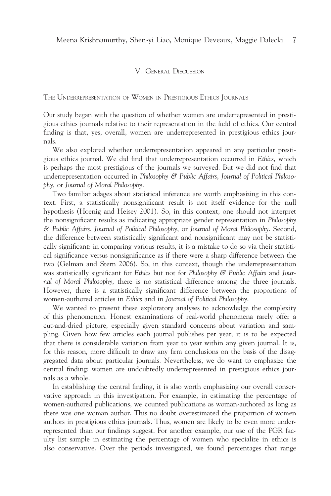#### V. GENERAL DISCUSSION

THE UNDERREPRESENTATION OF WOMEN IN PRESTIGIOUS ETHICS JOURNALS

Our study began with the question of whether women are underrepresented in prestigious ethics journals relative to their representation in the field of ethics. Our central finding is that, yes, overall, women are underrepresented in prestigious ethics journals.

We also explored whether underrepresentation appeared in any particular prestigious ethics journal. We did find that underrepresentation occurred in Ethics, which is perhaps the most prestigious of the journals we surveyed. But we did not find that underrepresentation occurred in Philosophy & Public Affairs, Journal of Political Philosophy, or Journal of Moral Philosophy.

Two familiar adages about statistical inference are worth emphasizing in this context. First, a statistically nonsignificant result is not itself evidence for the null hypothesis (Hoenig and Heisey 2001). So, in this context, one should not interpret the nonsignificant results as indicating appropriate gender representation in Philosophy & Public Affairs, Journal of Political Philosophy, or Journal of Moral Philosophy. Second, the difference between statistically significant and nonsignificant may not be statistically significant: in comparing various results, it is a mistake to do so via their statistical significance versus nonsignificance as if there were a sharp difference between the two (Gelman and Stern 2006). So, in this context, though the underrepresentation was statistically significant for Ethics but not for Philosophy  $\mathcal{C}$  Public Affairs and Journal of Moral Philosophy, there is no statistical difference among the three journals. However, there is a statistically significant difference between the proportions of women-authored articles in Ethics and in Journal of Political Philosophy.

We wanted to present these exploratory analyses to acknowledge the complexity of this phenomenon. Honest examinations of real-world phenomena rarely offer a cut-and-dried picture, especially given standard concerns about variation and sampling. Given how few articles each journal publishes per year, it is to be expected that there is considerable variation from year to year within any given journal. It is, for this reason, more difficult to draw any firm conclusions on the basis of the disaggregated data about particular journals. Nevertheless, we do want to emphasize the central finding: women are undoubtedly underrepresented in prestigious ethics journals as a whole.

In establishing the central finding, it is also worth emphasizing our overall conservative approach in this investigation. For example, in estimating the percentage of women-authored publications, we counted publications as woman-authored as long as there was one woman author. This no doubt overestimated the proportion of women authors in prestigious ethics journals. Thus, women are likely to be even more underrepresented than our findings suggest. For another example, our use of the PGR faculty list sample in estimating the percentage of women who specialize in ethics is also conservative. Over the periods investigated, we found percentages that range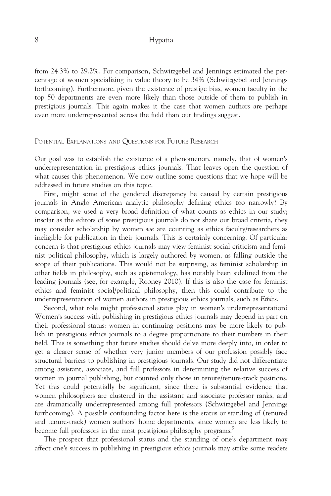from 24.3% to 29.2%. For comparison, Schwitzgebel and Jennings estimated the percentage of women specializing in value theory to be 34% (Schwitzgebel and Jennings forthcoming). Furthermore, given the existence of prestige bias, women faculty in the top 50 departments are even more likely than those outside of them to publish in prestigious journals. This again makes it the case that women authors are perhaps even more underrepresented across the field than our findings suggest.

#### POTENTIAL EXPLANATIONS AND QUESTIONS FOR FUTURE RESEARCH

Our goal was to establish the existence of a phenomenon, namely, that of women's underrepresentation in prestigious ethics journals. That leaves open the question of what causes this phenomenon. We now outline some questions that we hope will be addressed in future studies on this topic.

First, might some of the gendered discrepancy be caused by certain prestigious journals in Anglo American analytic philosophy defining ethics too narrowly? By comparison, we used a very broad definition of what counts as ethics in our study; insofar as the editors of some prestigious journals do not share our broad criteria, they may consider scholarship by women we are counting as ethics faculty/researchers as ineligible for publication in their journals. This is certainly concerning. Of particular concern is that prestigious ethics journals may view feminist social criticism and feminist political philosophy, which is largely authored by women, as falling outside the scope of their publications. This would not be surprising, as feminist scholarship in other fields in philosophy, such as epistemology, has notably been sidelined from the leading journals (see, for example, Rooney 2010). If this is also the case for feminist ethics and feminist social/political philosophy, then this could contribute to the underrepresentation of women authors in prestigious ethics journals, such as Ethics.

Second, what role might professional status play in women's underrepresentation? Women's success with publishing in prestigious ethics journals may depend in part on their professional status: women in continuing positions may be more likely to publish in prestigious ethics journals to a degree proportionate to their numbers in their field. This is something that future studies should delve more deeply into, in order to get a clearer sense of whether very junior members of our profession possibly face structural barriers to publishing in prestigious journals. Our study did not differentiate among assistant, associate, and full professors in determining the relative success of women in journal publishing, but counted only those in tenure/tenure-track positions. Yet this could potentially be significant, since there is substantial evidence that women philosophers are clustered in the assistant and associate professor ranks, and are dramatically underrepresented among full professors (Schwitzgebel and Jennings forthcoming). A possible confounding factor here is the status or standing of (tenured and tenure-track) women authors' home departments, since women are less likely to become full professors in the most prestigious philosophy programs.<sup>9</sup>

The prospect that professional status and the standing of one's department may affect one's success in publishing in prestigious ethics journals may strike some readers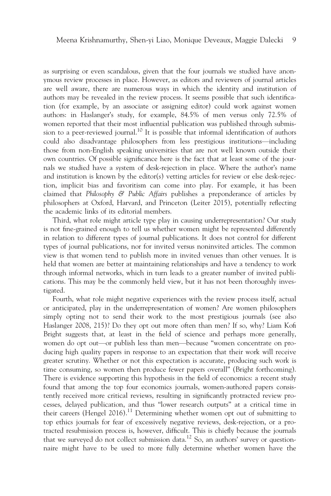as surprising or even scandalous, given that the four journals we studied have anonymous review processes in place. However, as editors and reviewers of journal articles are well aware, there are numerous ways in which the identity and institution of authors may be revealed in the review process. It seems possible that such identification (for example, by an associate or assigning editor) could work against women authors: in Haslanger's study, for example, 84.5% of men versus only 72.5% of women reported that their most influential publication was published through submission to a peer-reviewed journal.<sup>10</sup> It is possible that informal identification of authors could also disadvantage philosophers from less prestigious institutions—including those from non-English speaking universities that are not well known outside their own countries. Of possible significance here is the fact that at least some of the journals we studied have a system of desk-rejection in place. Where the author's name and institution is known by the editor(s) vetting articles for review or else desk-rejection, implicit bias and favoritism can come into play. For example, it has been claimed that Philosophy & Public Affairs publishes a preponderance of articles by philosophers at Oxford, Harvard, and Princeton (Leiter 2015), potentially reflecting the academic links of its editorial members.

Third, what role might article type play in causing underrepresentation? Our study is not fine-grained enough to tell us whether women might be represented differently in relation to different types of journal publications. It does not control for different types of journal publications, nor for invited versus noninvited articles. The common view is that women tend to publish more in invited venues than other venues. It is held that women are better at maintaining relationships and have a tendency to work through informal networks, which in turn leads to a greater number of invited publications. This may be the commonly held view, but it has not been thoroughly investigated.

Fourth, what role might negative experiences with the review process itself, actual or anticipated, play in the underrepresentation of women? Are women philosophers simply opting not to send their work to the most prestigious journals (see also Haslanger 2008, 215)? Do they opt out more often than men? If so, why? Liam Kofi Bright suggests that, at least in the field of science and perhaps more generally, women do opt out—or publish less than men—because "women concentrate on producing high quality papers in response to an expectation that their work will receive greater scrutiny. Whether or not this expectation is accurate, producing such work is time consuming, so women then produce fewer papers overall" (Bright forthcoming). There is evidence supporting this hypothesis in the field of economics: a recent study found that among the top four economics journals, women-authored papers consistently received more critical reviews, resulting in significantly protracted review processes, delayed publication, and thus "lower research outputs" at a critical time in their careers (Hengel 2016).<sup>11</sup> Determining whether women opt out of submitting to top ethics journals for fear of excessively negative reviews, desk-rejection, or a protracted resubmission process is, however, difficult. This is chiefly because the journals that we surveyed do not collect submission data.<sup>12</sup> So, an authors' survey or questionnaire might have to be used to more fully determine whether women have the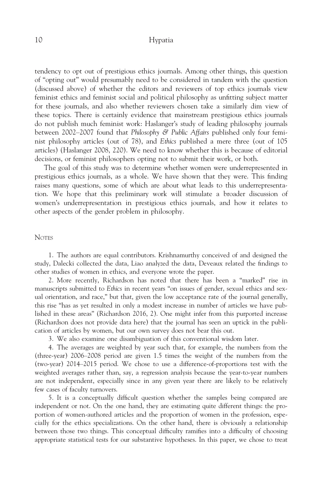tendency to opt out of prestigious ethics journals. Among other things, this question of "opting out" would presumably need to be considered in tandem with the question (discussed above) of whether the editors and reviewers of top ethics journals view feminist ethics and feminist social and political philosophy as unfitting subject matter for these journals, and also whether reviewers chosen take a similarly dim view of these topics. There is certainly evidence that mainstream prestigious ethics journals do not publish much feminist work: Haslanger's study of leading philosophy journals between 2002–2007 found that Philosophy & Public Affairs published only four feminist philosophy articles (out of 78), and Ethics published a mere three (out of 105 articles) (Haslanger 2008, 220). We need to know whether this is because of editorial decisions, or feminist philosophers opting not to submit their work, or both.

The goal of this study was to determine whether women were underrepresented in prestigious ethics journals, as a whole. We have shown that they were. This finding raises many questions, some of which are about what leads to this underrepresentation. We hope that this preliminary work will stimulate a broader discussion of women's underrepresentation in prestigious ethics journals, and how it relates to other aspects of the gender problem in philosophy.

#### **NOTES**

1. The authors are equal contributors. Krishnamurthy conceived of and designed the study, Dalecki collected the data, Liao analyzed the data, Deveaux related the findings to other studies of women in ethics, and everyone wrote the paper.

2. More recently, Richardson has noted that there has been a "marked" rise in manuscripts submitted to Ethics in recent years "on issues of gender, sexual ethics and sexual orientation, and race," but that, given the low acceptance rate of the journal generally, this rise "has as yet resulted in only a modest increase in number of articles we have published in these areas" (Richardson 2016, 2). One might infer from this purported increase (Richardson does not provide data here) that the journal has seen an uptick in the publication of articles by women, but our own survey does not bear this out.

3. We also examine one disambiguation of this conventional wisdom later.

4. The averages are weighted by year such that, for example, the numbers from the (three-year) 2006–2008 period are given 1.5 times the weight of the numbers from the (two-year) 2014–2015 period. We chose to use a difference-of-proportions test with the weighted averages rather than, say, a regression analysis because the year-to-year numbers are not independent, especially since in any given year there are likely to be relatively few cases of faculty turnovers.

5. It is a conceptually difficult question whether the samples being compared are independent or not. On the one hand, they are estimating quite different things: the proportion of women-authored articles and the proportion of women in the profession, especially for the ethics specializations. On the other hand, there is obviously a relationship between those two things. This conceptual difficulty ramifies into a difficulty of choosing appropriate statistical tests for our substantive hypotheses. In this paper, we chose to treat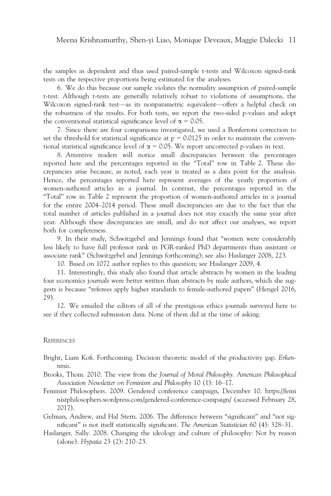the samples as dependent and thus used paired-sample t-tests and Wilcoxon signed-rank tests on the respective proportions being estimated for the analyses.

6. We do this because our sample violates the normality assumption of paired-sample t-test. Although t-tests are generally relatively robust to violations of assumptions, the Wilcoxon signed-rank test—as its nonparametric equivalent—offers a helpful check on the robustness of the results. For both tests, we report the two-sided p-values and adopt the conventional statistical significance level of  $\alpha = 0.05$ .

7. Since there are four comparisons investigated, we used a Bonferroni correction to set the threshold for statistical significance at  $p = 0.0125$  in order to maintain the conventional statistical significance level of  $\alpha = 0.05$ . We report uncorrected p-values in text.

8. Attentive readers will notice small discrepancies between the percentages reported here and the percentages reported in the "Total" row in Table 2. These discrepancies arise because, as noted, each year is treated as a data point for the analysis. Hence, the percentages reported here represent averages of the yearly proportion of women-authored articles in a journal. In contrast, the percentages reported in the "Total" row in Table 2 represent the proportion of women-authored articles in a journal for the entire 2004–2014 period. These small discrepancies are due to the fact that the total number of articles published in a journal does not stay exactly the same year after year. Although these discrepancies are small, and do not affect our analyses, we report both for completeness.

9. In their study, Schwitzgebel and Jennings found that "women were considerably less likely to have full professor rank in PGR-ranked PhD departments than assistant or associate rank" (Schwitzgebel and Jennings forthcoming); see also Haslanger 2008, 223.

10. Based on 1072 author replies to this question; see Haslanger 2009, 4.

11. Interestingly, this study also found that article abstracts by women in the leading four economics journals were better written than abstracts by male authors, which she suggests is because "referees apply higher standards to female-authored papers" (Hengel 2016, 29).

12. We emailed the editors of all of the prestigious ethics journals surveyed here to see if they collected submission data. None of them did at the time of asking.

#### **REFERENCES**

- Bright, Liam Kofi. Forthcoming. Decision theoretic model of the productivity gap. Erkenntnis.
- Brooks, Thom. 2010. The view from the Journal of Moral Philosophy. American Philosophical Association Newsletter on Feminism and Philosophy 10 (1): 16–17.
- Feminist Philosophers. 2009. Gendered conference campaign, December 10. [https://femi](https://feministphilosophers.wordpress.com/gendered-conference-campaign/) [nistphilosophers.wordpress.com/gendered-conference-campaign/](https://feministphilosophers.wordpress.com/gendered-conference-campaign/) (accessed February 28, 2017).
- Gelman, Andrew, and Hal Stern. 2006. The difference between "significant" and "not significant" is not itself statistically significant. The American Statistician 60 (4): 328–31.
- Haslanger, Sally. 2008. Changing the ideology and culture of philosophy: Not by reason (alone). Hypatia 23 (2): 210–23.